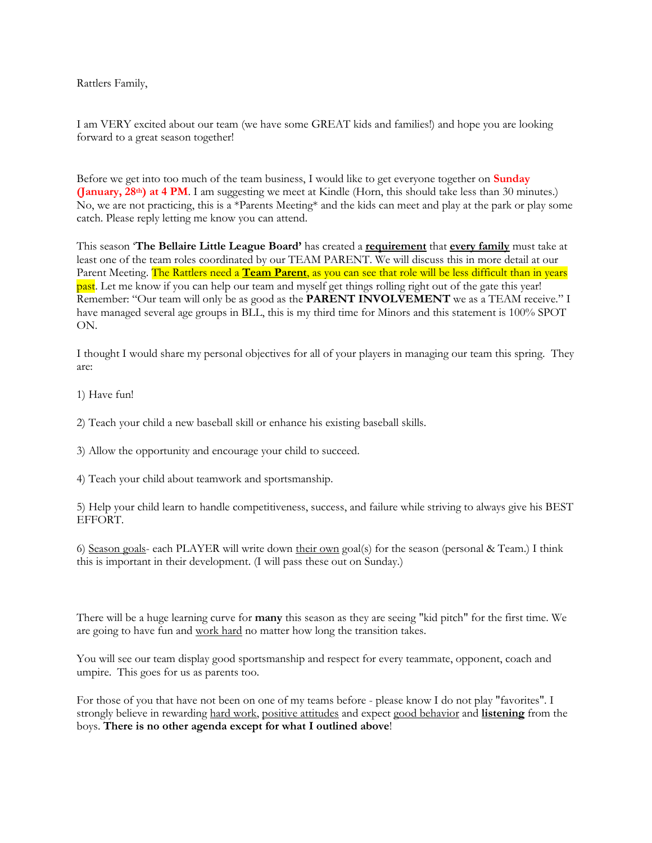Rattlers Family,

I am VERY excited about our team (we have some GREAT kids and families!) and hope you are looking forward to a great season together!

Before we get into too much of the team business, I would like to get everyone together on **Sunday (January, 28th) at 4 PM**. I am suggesting we meet at Kindle (Horn, this should take less than 30 minutes.) No, we are not practicing, this is a \*Parents Meeting\* and the kids can meet and play at the park or play some catch. Please reply letting me know you can attend.

This season '**The Bellaire Little League Board'** has created a **requirement** that **every family** must take at least one of the team roles coordinated by our TEAM PARENT. We will discuss this in more detail at our Parent Meeting. The Rattlers need a **Team Parent**, as you can see that role will be less difficult than in years past. Let me know if you can help our team and myself get things rolling right out of the gate this year! Remember: "Our team will only be as good as the **PARENT INVOLVEMENT** we as a TEAM receive." I have managed several age groups in BLL, this is my third time for Minors and this statement is 100% SPOT ON.

I thought I would share my personal objectives for all of your players in managing our team this spring. They are:

1) Have fun!

2) Teach your child a new baseball skill or enhance his existing baseball skills.

3) Allow the opportunity and encourage your child to succeed.

4) Teach your child about teamwork and sportsmanship.

5) Help your child learn to handle competitiveness, success, and failure while striving to always give his BEST EFFORT.

6) Season goals- each PLAYER will write down their own goal(s) for the season (personal & Team.) I think this is important in their development. (I will pass these out on Sunday.)

There will be a huge learning curve for **many** this season as they are seeing "kid pitch" for the first time. We are going to have fun and work hard no matter how long the transition takes.

You will see our team display good sportsmanship and respect for every teammate, opponent, coach and umpire. This goes for us as parents too.

For those of you that have not been on one of my teams before - please know I do not play "favorites". I strongly believe in rewarding hard work, positive attitudes and expect good behavior and **listening** from the boys. **There is no other agenda except for what I outlined above**!